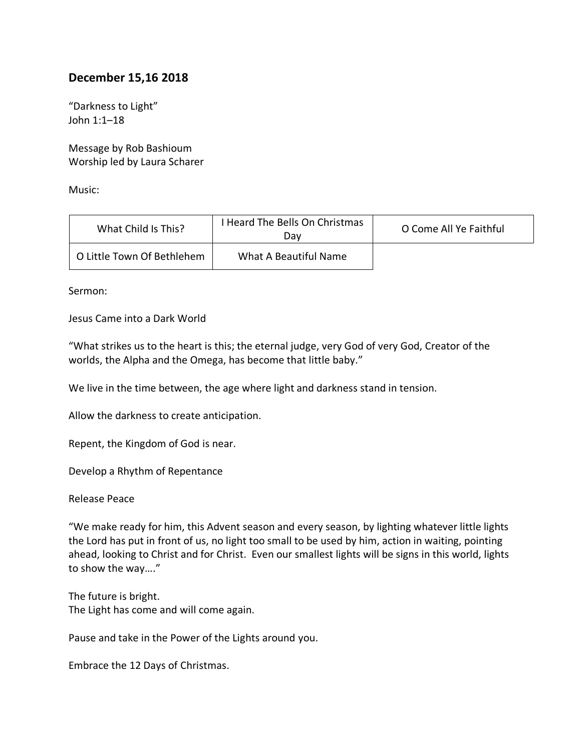## **December 15,16 2018**

"Darkness to Light" John 1:1–18

Message by Rob Bashioum Worship led by Laura Scharer

Music:

| What Child Is This?        | I Heard The Bells On Christmas<br>Dav | O Come All Ye Faithful |
|----------------------------|---------------------------------------|------------------------|
| O Little Town Of Bethlehem | What A Beautiful Name                 |                        |

Sermon:

Jesus Came into a Dark World

"What strikes us to the heart is this; the eternal judge, very God of very God, Creator of the worlds, the Alpha and the Omega, has become that little baby."

We live in the time between, the age where light and darkness stand in tension.

Allow the darkness to create anticipation.

Repent, the Kingdom of God is near.

Develop a Rhythm of Repentance

Release Peace

"We make ready for him, this Advent season and every season, by lighting whatever little lights the Lord has put in front of us, no light too small to be used by him, action in waiting, pointing ahead, looking to Christ and for Christ. Even our smallest lights will be signs in this world, lights to show the way…."

The future is bright. The Light has come and will come again.

Pause and take in the Power of the Lights around you.

Embrace the 12 Days of Christmas.